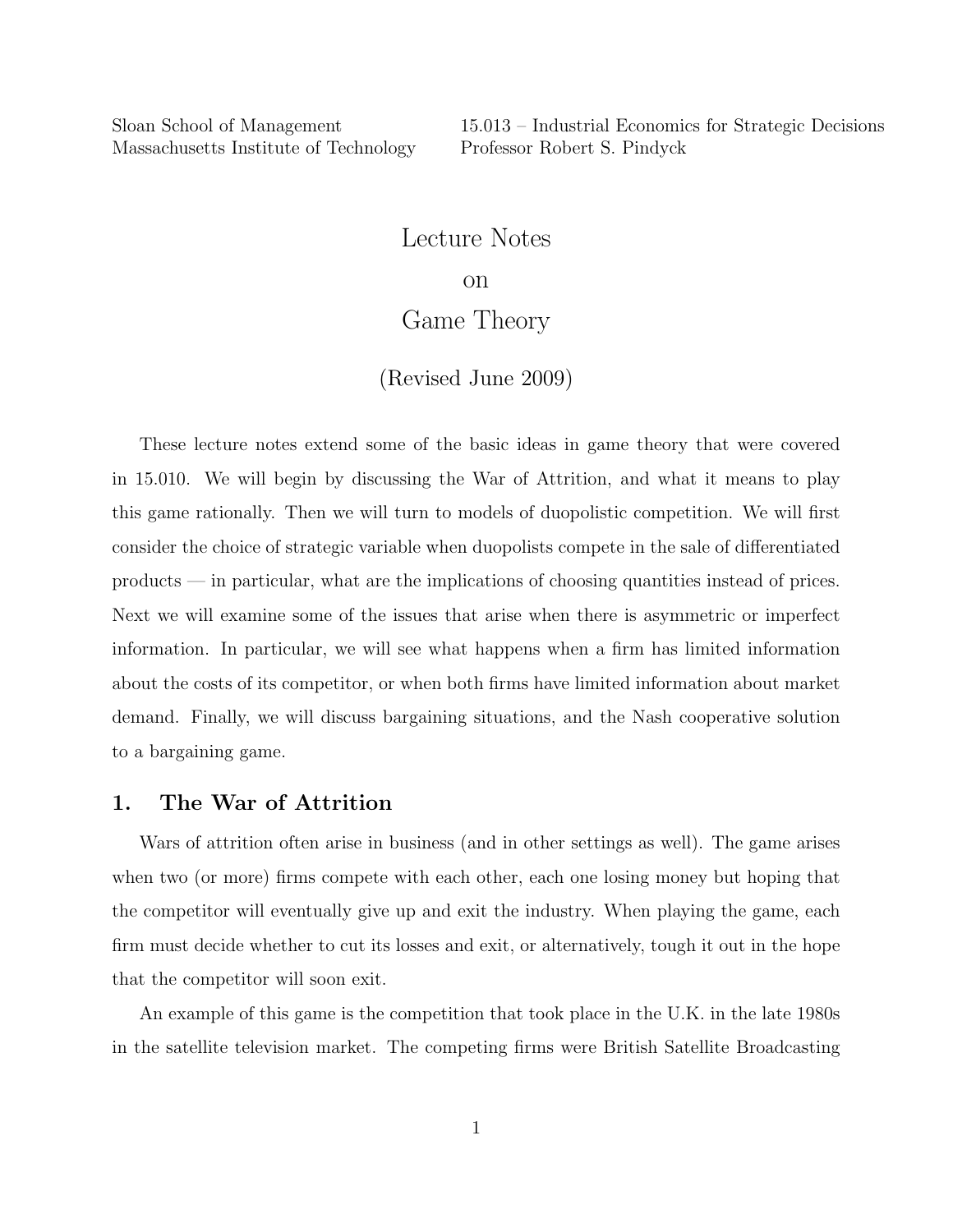# Lecture Notes

#### on

# Game Theory

### (Revised June 2009)

These lecture notes extend some of the basic ideas in game theory that were covered in 15.010. We will begin by discussing the War of Attrition, and what it means to play this game rationally. Then we will turn to models of duopolistic competition. We will first consider the choice of strategic variable when duopolists compete in the sale of differentiated products — in particular, what are the implications of choosing quantities instead of prices. Next we will examine some of the issues that arise when there is asymmetric or imperfect information. In particular, we will see what happens when a firm has limited information about the costs of its competitor, or when both firms have limited information about market demand. Finally, we will discuss bargaining situations, and the Nash cooperative solution to a bargaining game.

## 1. The War of Attrition

Wars of attrition often arise in business (and in other settings as well). The game arises when two (or more) firms compete with each other, each one losing money but hoping that the competitor will eventually give up and exit the industry. When playing the game, each firm must decide whether to cut its losses and exit, or alternatively, tough it out in the hope that the competitor will soon exit.

An example of this game is the competition that took place in the U.K. in the late 1980s in the satellite television market. The competing firms were British Satellite Broadcasting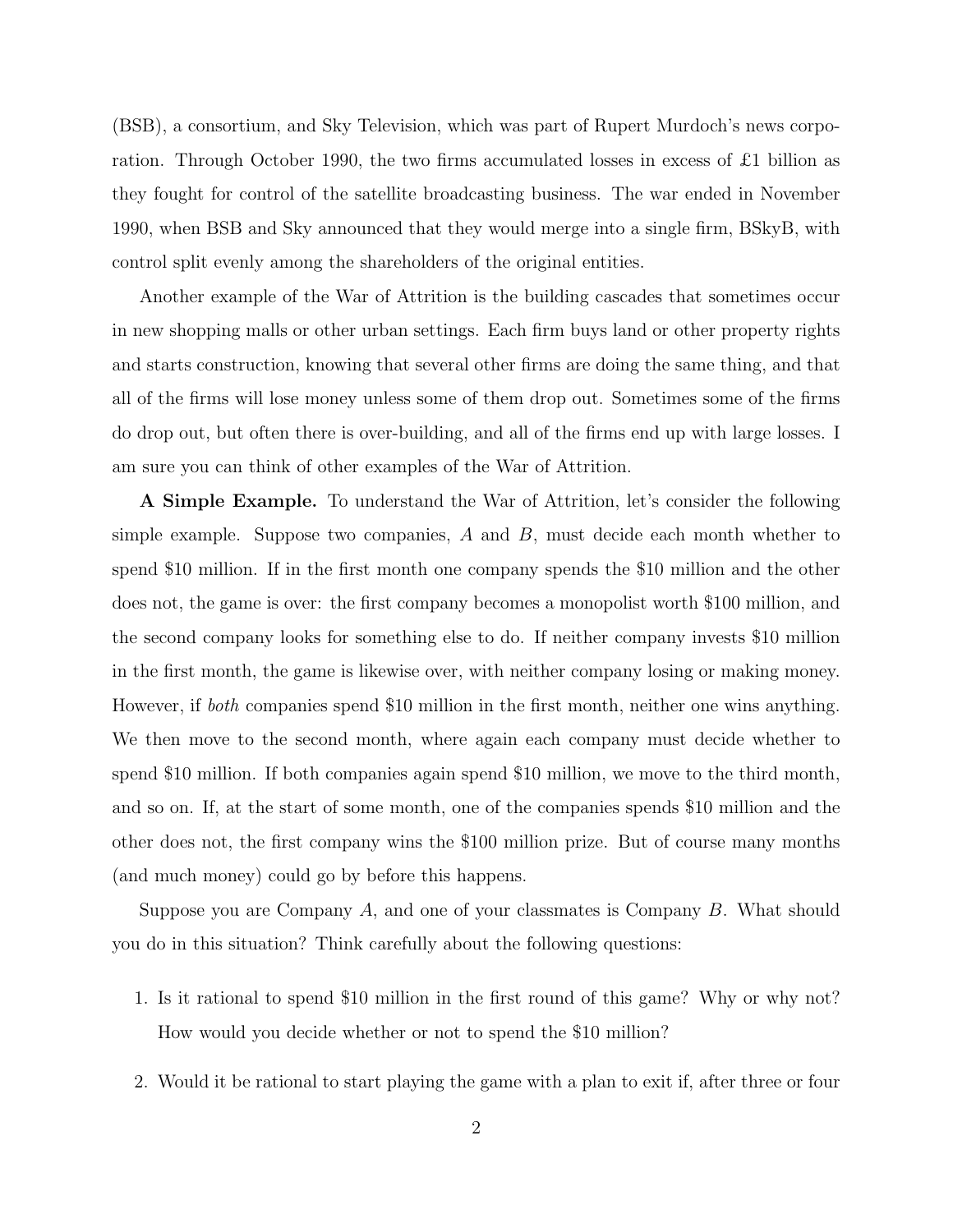(BSB), a consortium, and Sky Television, which was part of Rupert Murdoch's news corporation. Through October 1990, the two firms accumulated losses in excess of £1 billion as they fought for control of the satellite broadcasting business. The war ended in November 1990, when BSB and Sky announced that they would merge into a single firm, BSkyB, with control split evenly among the shareholders of the original entities.

Another example of the War of Attrition is the building cascades that sometimes occur in new shopping malls or other urban settings. Each firm buys land or other property rights and starts construction, knowing that several other firms are doing the same thing, and that all of the firms will lose money unless some of them drop out. Sometimes some of the firms do drop out, but often there is over-building, and all of the firms end up with large losses. I am sure you can think of other examples of the War of Attrition.

A Simple Example. To understand the War of Attrition, let's consider the following simple example. Suppose two companies,  $A$  and  $B$ , must decide each month whether to spend \$10 million. If in the first month one company spends the \$10 million and the other does not, the game is over: the first company becomes a monopolist worth \$100 million, and the second company looks for something else to do. If neither company invests \$10 million in the first month, the game is likewise over, with neither company losing or making money. However, if both companies spend \$10 million in the first month, neither one wins anything. We then move to the second month, where again each company must decide whether to spend \$10 million. If both companies again spend \$10 million, we move to the third month, and so on. If, at the start of some month, one of the companies spends \$10 million and the other does not, the first company wins the \$100 million prize. But of course many months (and much money) could go by before this happens.

Suppose you are Company A, and one of your classmates is Company B. What should you do in this situation? Think carefully about the following questions:

- 1. Is it rational to spend \$10 million in the first round of this game? Why or why not? How would you decide whether or not to spend the \$10 million?
- 2. Would it be rational to start playing the game with a plan to exit if, after three or four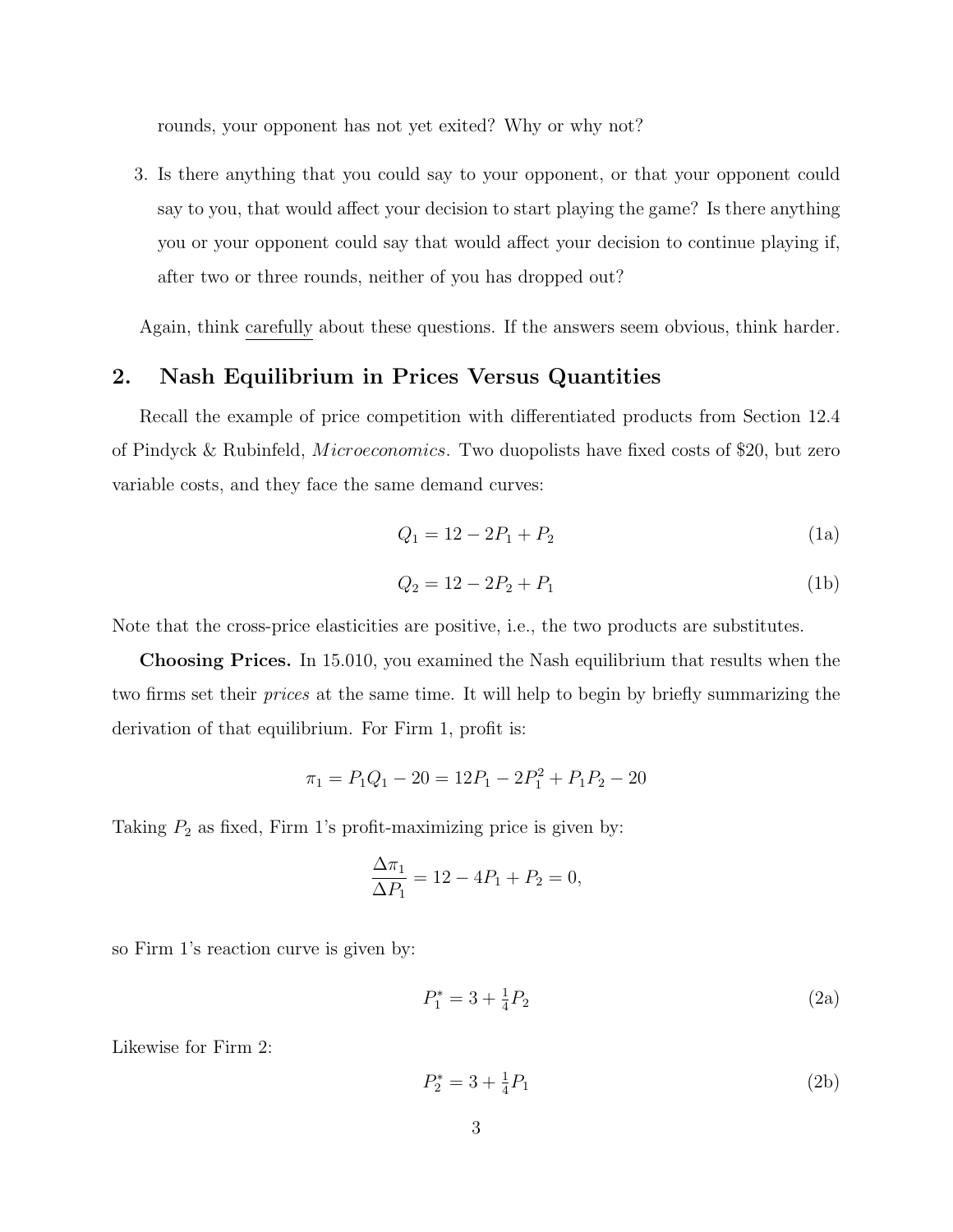rounds, your opponent has not yet exited? Why or why not?

3. Is there anything that you could say to your opponent, or that your opponent could say to you, that would affect your decision to start playing the game? Is there anything you or your opponent could say that would affect your decision to continue playing if, after two or three rounds, neither of you has dropped out?

Again, think carefully about these questions. If the answers seem obvious, think harder.

# 2. Nash Equilibrium in Prices Versus Quantities

Recall the example of price competition with differentiated products from Section 12.4 of Pindyck & Rubinfeld, *Microeconomics*. Two duopolists have fixed costs of \$20, but zero variable costs, and they face the same demand curves:

$$
Q_1 = 12 - 2P_1 + P_2 \tag{1a}
$$

$$
Q_2 = 12 - 2P_2 + P_1 \tag{1b}
$$

Note that the cross-price elasticities are positive, i.e., the two products are substitutes.

Choosing Prices. In 15.010, you examined the Nash equilibrium that results when the two firms set their prices at the same time. It will help to begin by briefly summarizing the derivation of that equilibrium. For Firm 1, profit is:

$$
\pi_1 = P_1 Q_1 - 20 = 12P_1 - 2P_1^2 + P_1 P_2 - 20
$$

Taking  $P_2$  as fixed, Firm 1's profit-maximizing price is given by:

$$
\frac{\Delta \pi_1}{\Delta P_1} = 12 - 4P_1 + P_2 = 0,
$$

so Firm 1's reaction curve is given by:

$$
P_1^* = 3 + \frac{1}{4}P_2 \tag{2a}
$$

Likewise for Firm 2:

$$
P_2^* = 3 + \frac{1}{4}P_1\tag{2b}
$$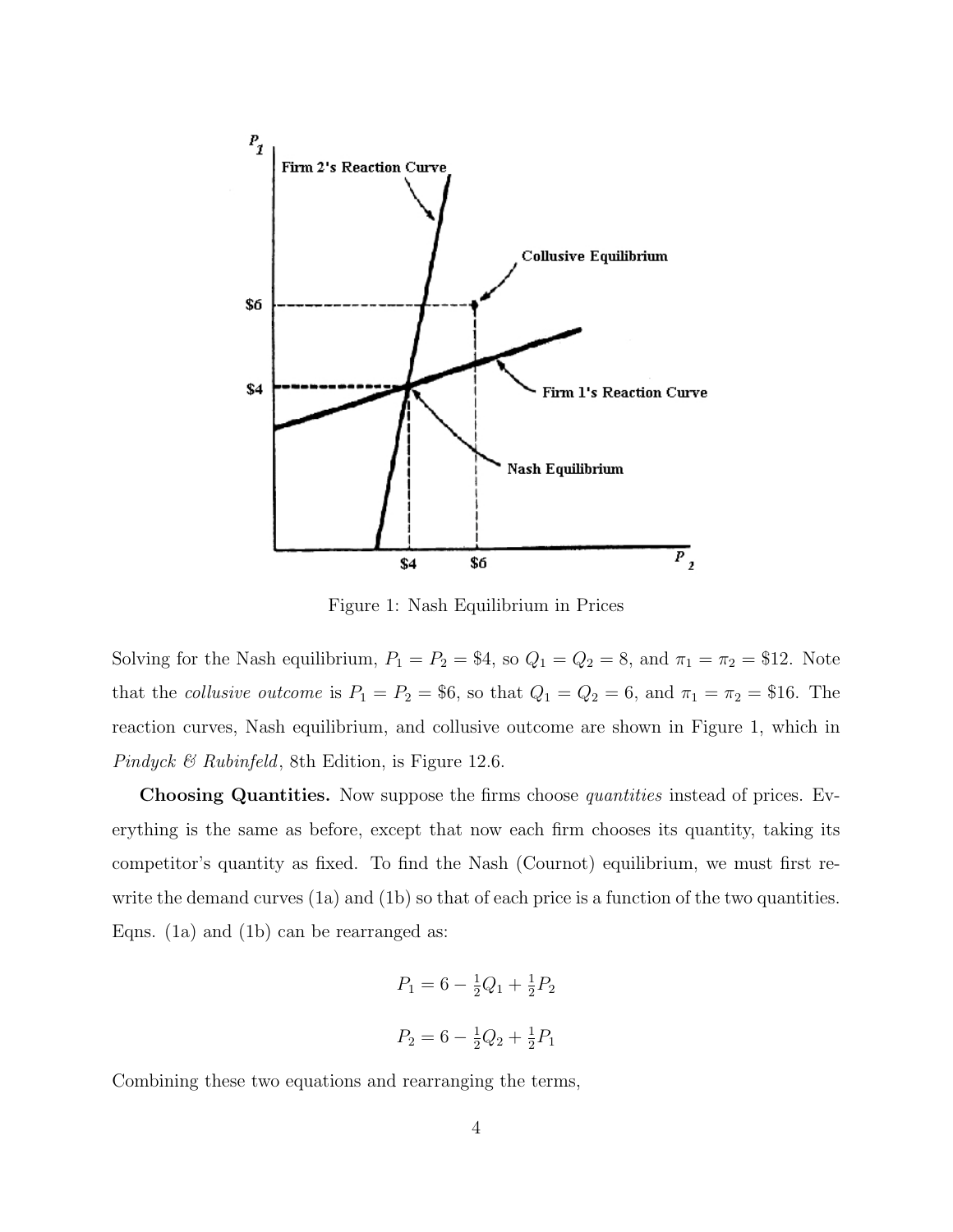

Figure 1: Nash Equilibrium in Prices

Solving for the Nash equilibrium,  $P_1 = P_2 = $4$ , so  $Q_1 = Q_2 = 8$ , and  $\pi_1 = \pi_2 = $12$ . Note that the collusive outcome is  $P_1 = P_2 = $6$ , so that  $Q_1 = Q_2 = 6$ , and  $\pi_1 = \pi_2 = $16$ . The reaction curves, Nash equilibrium, and collusive outcome are shown in Figure 1, which in Pindyck & Rubinfeld, 8th Edition, is Figure 12.6.

Choosing Quantities. Now suppose the firms choose *quantities* instead of prices. Everything is the same as before, except that now each firm chooses its quantity, taking its competitor's quantity as fixed. To find the Nash (Cournot) equilibrium, we must first rewrite the demand curves (1a) and (1b) so that of each price is a function of the two quantities. Eqns. (1a) and (1b) can be rearranged as:

$$
P_1 = 6 - \frac{1}{2}Q_1 + \frac{1}{2}P_2
$$
  

$$
P_2 = 6 - \frac{1}{2}Q_2 + \frac{1}{2}P_1
$$

Combining these two equations and rearranging the terms,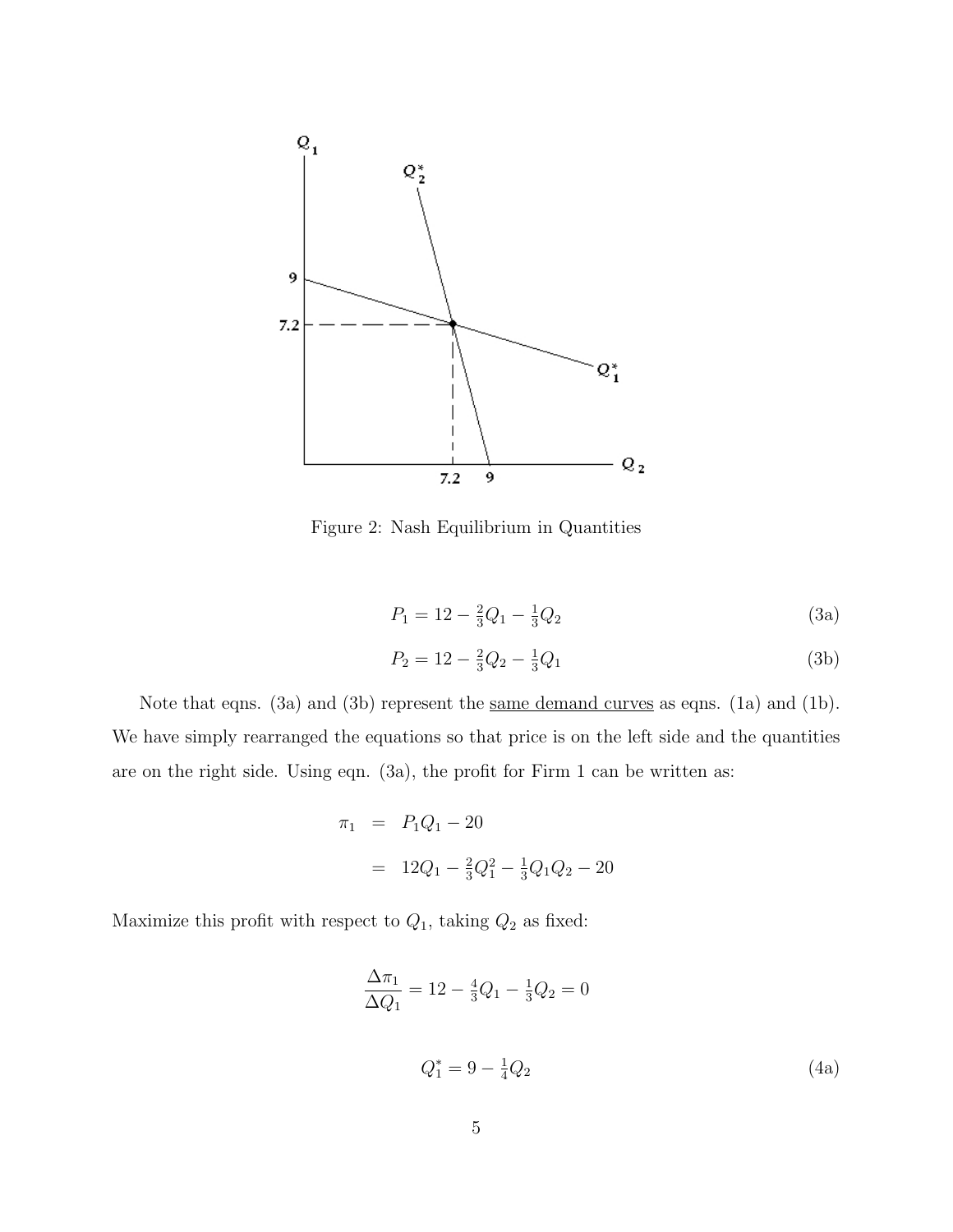

Figure 2: Nash Equilibrium in Quantities

$$
P_1 = 12 - \frac{2}{3}Q_1 - \frac{1}{3}Q_2 \tag{3a}
$$

$$
P_2 = 12 - \frac{2}{3}Q_2 - \frac{1}{3}Q_1\tag{3b}
$$

Note that eqns. (3a) and (3b) represent the <u>same demand curves</u> as eqns. (1a) and (1b). We have simply rearranged the equations so that price is on the left side and the quantities are on the right side. Using eqn. (3a), the profit for Firm 1 can be written as:

$$
\pi_1 = P_1 Q_1 - 20
$$
  
=  $12Q_1 - \frac{2}{3}Q_1^2 - \frac{1}{3}Q_1 Q_2 - 20$ 

Maximize this profit with respect to  $Q_1$ , taking  $Q_2$  as fixed:

$$
\frac{\Delta \pi_1}{\Delta Q_1} = 12 - \frac{4}{3}Q_1 - \frac{1}{3}Q_2 = 0
$$
  

$$
Q_1^* = 9 - \frac{1}{4}Q_2
$$
 (4a)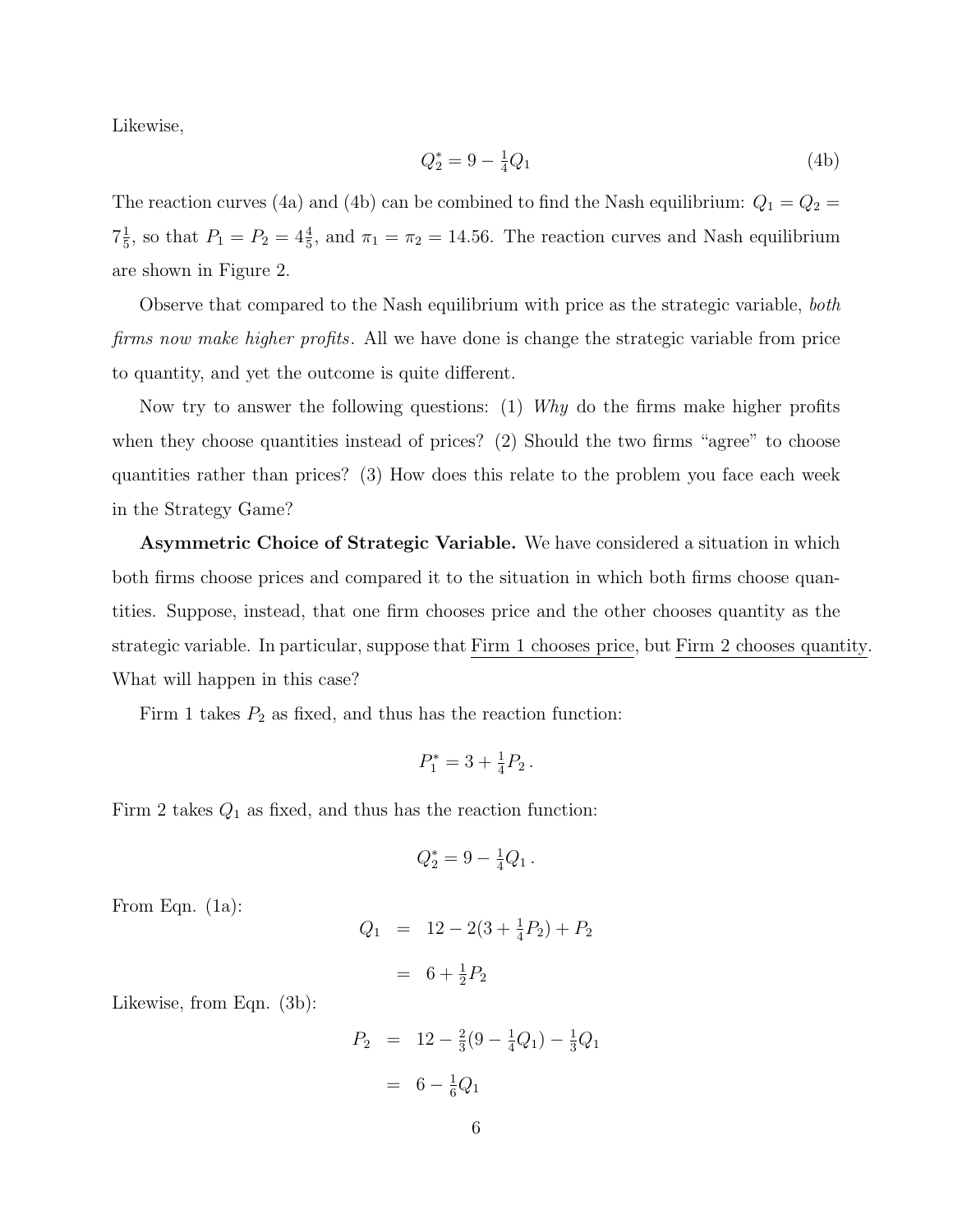Likewise,

$$
Q_2^* = 9 - \frac{1}{4}Q_1\tag{4b}
$$

The reaction curves (4a) and (4b) can be combined to find the Nash equilibrium:  $Q_1 = Q_2$  $7\frac{1}{5}$  $\frac{1}{5}$ , so that  $P_1 = P_2 = 4\frac{4}{5}$ , and  $\pi_1 = \pi_2 = 14.56$ . The reaction curves and Nash equilibrium are shown in Figure 2.

Observe that compared to the Nash equilibrium with price as the strategic variable, *both* firms now make higher profits. All we have done is change the strategic variable from price to quantity, and yet the outcome is quite different.

Now try to answer the following questions: (1) Why do the firms make higher profits when they choose quantities instead of prices? (2) Should the two firms "agree" to choose quantities rather than prices? (3) How does this relate to the problem you face each week in the Strategy Game?

Asymmetric Choice of Strategic Variable. We have considered a situation in which both firms choose prices and compared it to the situation in which both firms choose quantities. Suppose, instead, that one firm chooses price and the other chooses quantity as the strategic variable. In particular, suppose that Firm 1 chooses price, but Firm 2 chooses quantity. What will happen in this case?

Firm 1 takes  $P_2$  as fixed, and thus has the reaction function:

$$
P_1^* = 3 + \frac{1}{4}P_2 \,.
$$

Firm 2 takes  $Q_1$  as fixed, and thus has the reaction function:

$$
Q_2^* = 9 - \frac{1}{4}Q_1.
$$

From Eqn. (1a):

$$
Q_1 = 12 - 2(3 + \frac{1}{4}P_2) + P_2
$$

$$
= 6 + \frac{1}{2}P_2
$$

Likewise, from Eqn. (3b):

$$
P_2 = 12 - \frac{2}{3}(9 - \frac{1}{4}Q_1) - \frac{1}{3}Q_1
$$

$$
= 6 - \frac{1}{6}Q_1
$$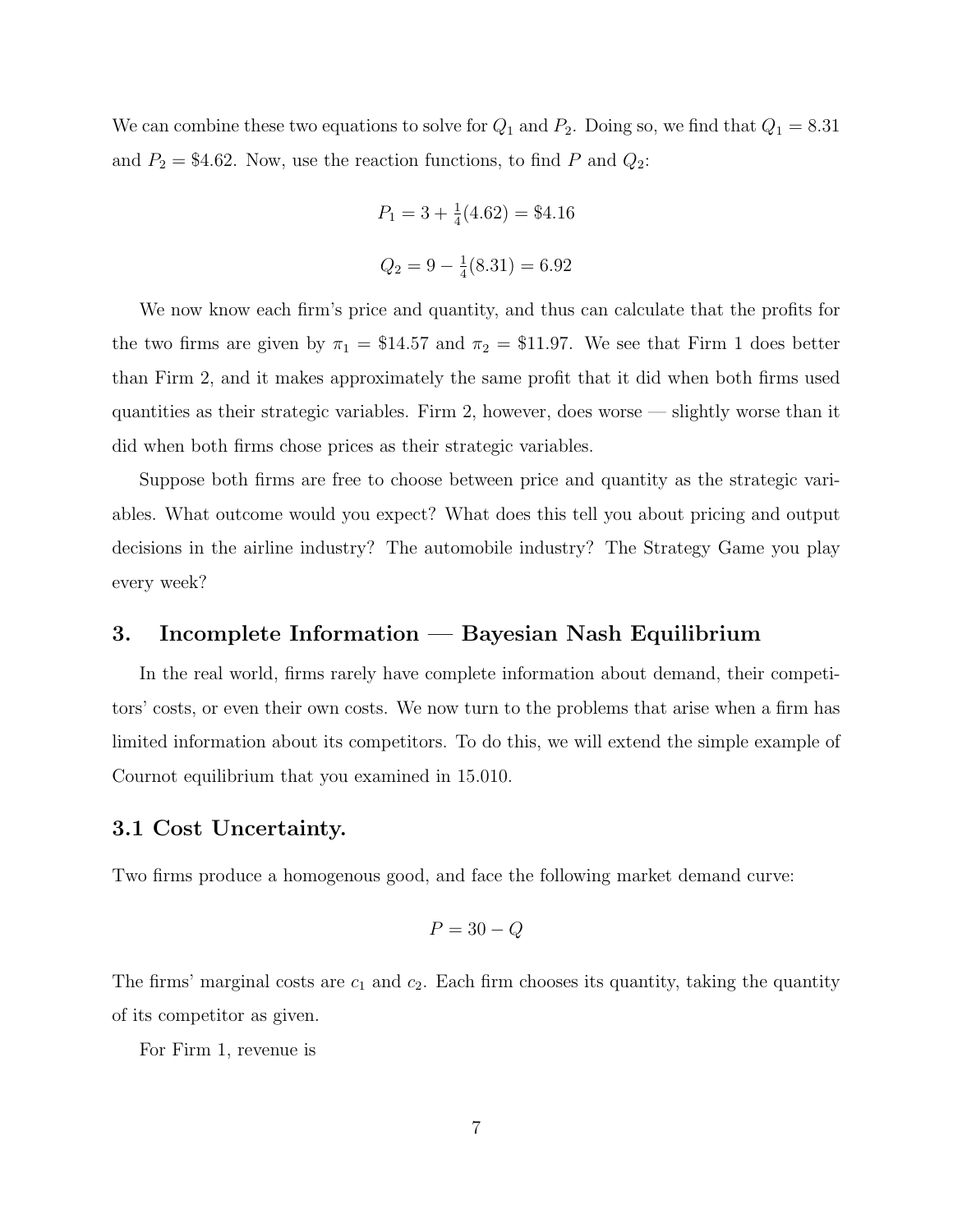We can combine these two equations to solve for  $Q_1$  and  $P_2$ . Doing so, we find that  $Q_1 = 8.31$ and  $P_2 = $4.62$ . Now, use the reaction functions, to find P and  $Q_2$ :

$$
P_1 = 3 + \frac{1}{4}(4.62) = $4.16
$$
  

$$
Q_2 = 9 - \frac{1}{4}(8.31) = 6.92
$$

We now know each firm's price and quantity, and thus can calculate that the profits for the two firms are given by  $\pi_1 = \$14.57$  and  $\pi_2 = \$11.97$ . We see that Firm 1 does better than Firm 2, and it makes approximately the same profit that it did when both firms used quantities as their strategic variables. Firm 2, however, does worse — slightly worse than it did when both firms chose prices as their strategic variables.

Suppose both firms are free to choose between price and quantity as the strategic variables. What outcome would you expect? What does this tell you about pricing and output decisions in the airline industry? The automobile industry? The Strategy Game you play every week?

# 3. Incomplete Information — Bayesian Nash Equilibrium

In the real world, firms rarely have complete information about demand, their competitors' costs, or even their own costs. We now turn to the problems that arise when a firm has limited information about its competitors. To do this, we will extend the simple example of Cournot equilibrium that you examined in 15.010.

#### 3.1 Cost Uncertainty.

Two firms produce a homogenous good, and face the following market demand curve:

$$
P = 30 - Q
$$

The firms' marginal costs are  $c_1$  and  $c_2$ . Each firm chooses its quantity, taking the quantity of its competitor as given.

For Firm 1, revenue is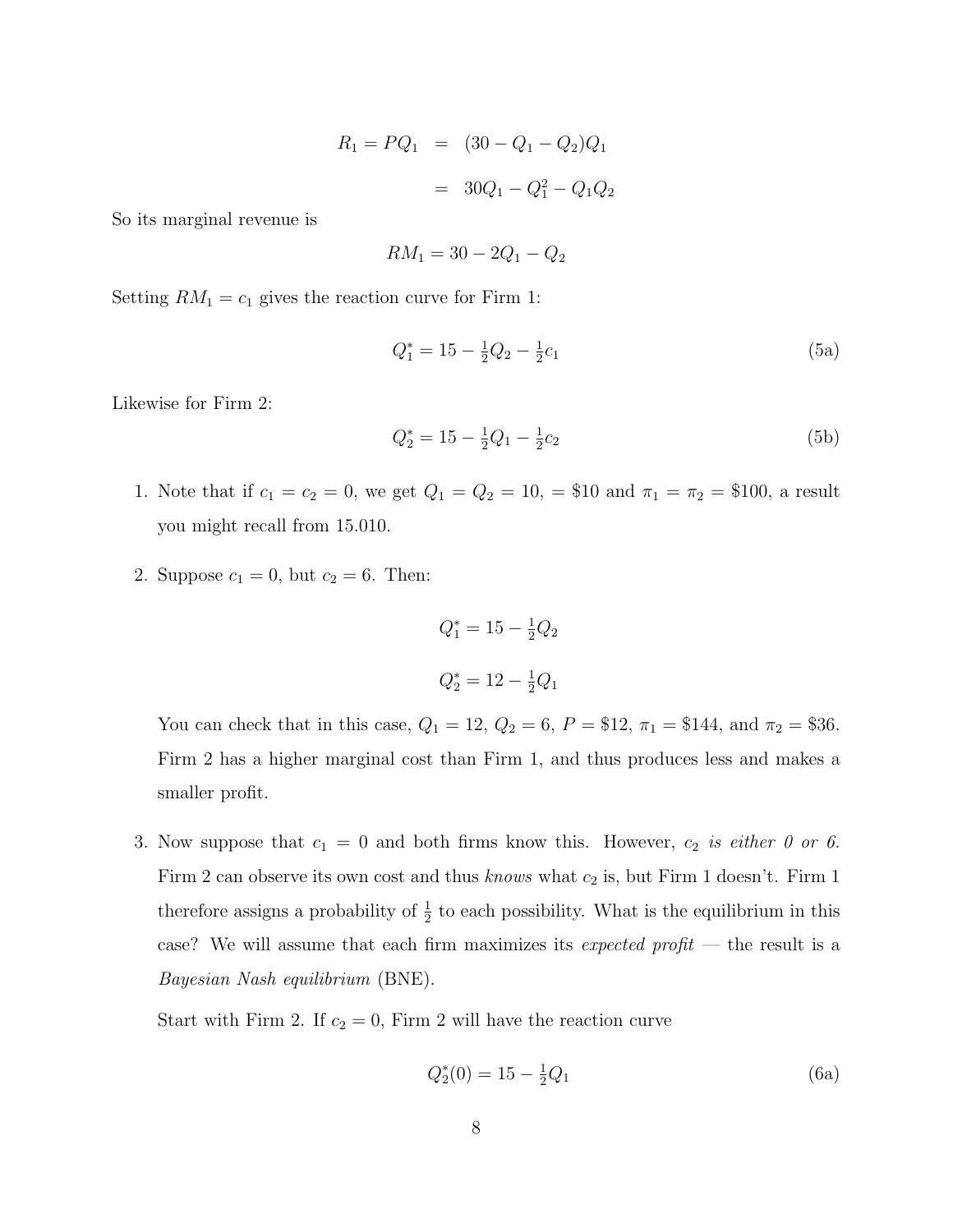$$
R_1 = PQ_1 = (30 - Q_1 - Q_2)Q_1
$$
  
= 30Q\_1 - Q\_1<sup>2</sup> - Q\_1Q\_2

So its marginal revenue is

$$
RM_1 = 30 - 2Q_1 - Q_2
$$

Setting  $RM_1 = c_1$  gives the reaction curve for Firm 1:

$$
Q_1^* = 15 - \frac{1}{2}Q_2 - \frac{1}{2}c_1\tag{5a}
$$

Likewise for Firm 2:

$$
Q_2^* = 15 - \frac{1}{2}Q_1 - \frac{1}{2}c_2\tag{5b}
$$

- 1. Note that if  $c_1 = c_2 = 0$ , we get  $Q_1 = Q_2 = 10$ ,  $\approx 100$  and  $\pi_1 = \pi_2 = 100$ , a result you might recall from 15.010.
- 2. Suppose  $c_1 = 0$ , but  $c_2 = 6$ . Then:

$$
Q_1^* = 15 - \frac{1}{2}Q_2
$$
  

$$
Q_2^* = 12 - \frac{1}{2}Q_1
$$

You can check that in this case,  $Q_1 = 12$ ,  $Q_2 = 6$ ,  $P = $12$ ,  $\pi_1 = $144$ , and  $\pi_2 = $36$ . Firm 2 has a higher marginal cost than Firm 1, and thus produces less and makes a smaller profit.

3. Now suppose that  $c_1 = 0$  and both firms know this. However,  $c_2$  is either 0 or 6. Firm 2 can observe its own cost and thus knows what  $c_2$  is, but Firm 1 doesn't. Firm 1 therefore assigns a probability of  $\frac{1}{2}$  to each possibility. What is the equilibrium in this case? We will assume that each firm maximizes its *expected profit* — the result is a Bayesian Nash equilibrium (BNE).

Start with Firm 2. If  $c_2 = 0$ , Firm 2 will have the reaction curve

$$
Q_2^*(0) = 15 - \frac{1}{2}Q_1 \tag{6a}
$$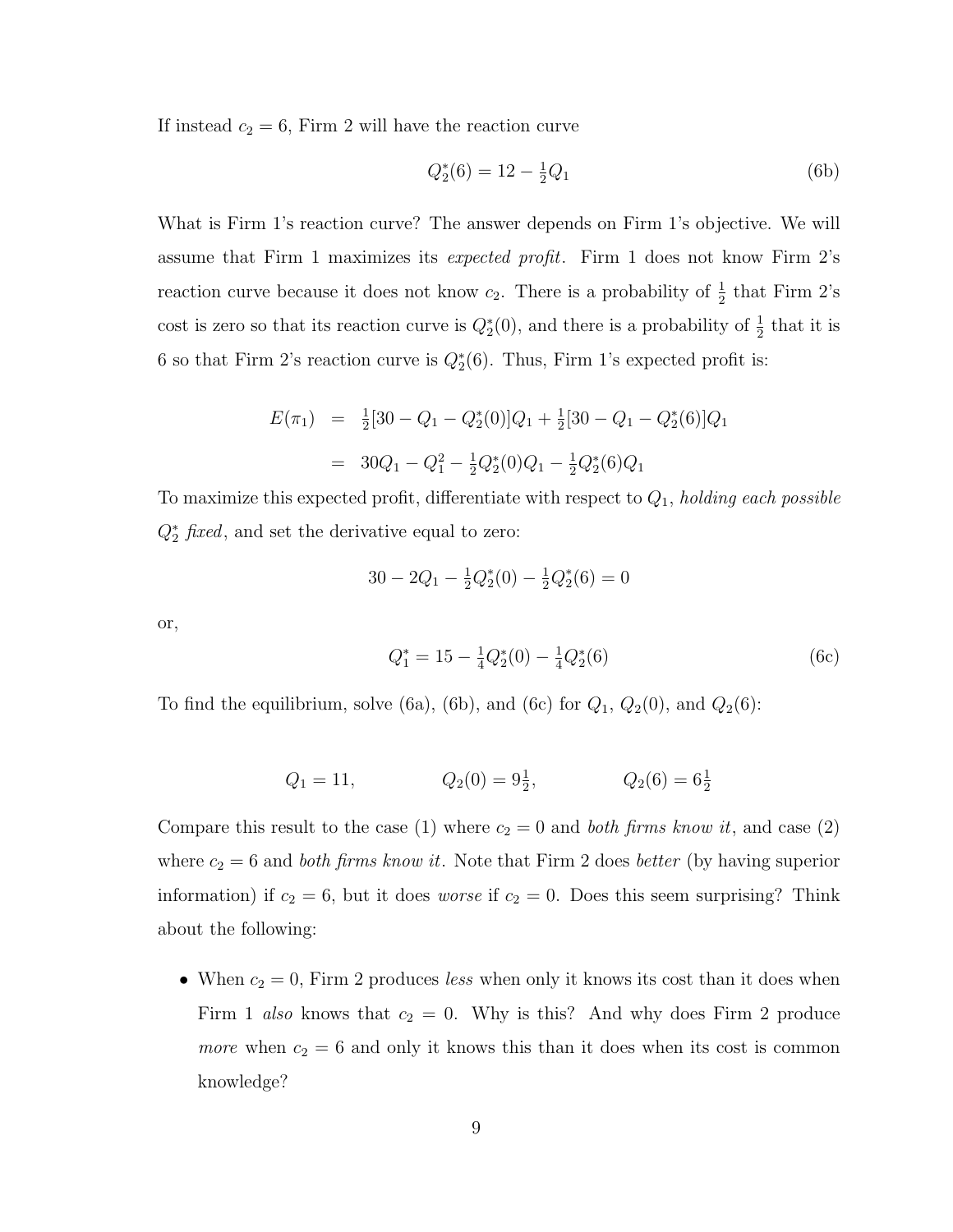If instead  $c_2 = 6$ , Firm 2 will have the reaction curve

$$
Q_2^*(6) = 12 - \frac{1}{2}Q_1 \tag{6b}
$$

What is Firm 1's reaction curve? The answer depends on Firm 1's objective. We will assume that Firm 1 maximizes its expected profit. Firm 1 does not know Firm 2's reaction curve because it does not know  $c_2$ . There is a probability of  $\frac{1}{2}$  that Firm 2's cost is zero so that its reaction curve is  $Q_2^*(0)$ , and there is a probability of  $\frac{1}{2}$  that it is 6 so that Firm 2's reaction curve is  $Q_2^*(6)$ . Thus, Firm 1's expected profit is:

$$
E(\pi_1) = \frac{1}{2}[30 - Q_1 - Q_2^*(0)]Q_1 + \frac{1}{2}[30 - Q_1 - Q_2^*(6)]Q_1
$$
  
=  $30Q_1 - Q_1^2 - \frac{1}{2}Q_2^*(0)Q_1 - \frac{1}{2}Q_2^*(6)Q_1$ 

To maximize this expected profit, differentiate with respect to  $Q_1$ , holding each possible  $Q_2^*$  *fixed*, and set the derivative equal to zero:

$$
30 - 2Q_1 - \frac{1}{2}Q_2^*(0) - \frac{1}{2}Q_2^*(6) = 0
$$

or,

$$
Q_1^* = 15 - \frac{1}{4}Q_2^*(0) - \frac{1}{4}Q_2^*(6)
$$
 (6c)

To find the equilibrium, solve (6a), (6b), and (6c) for  $Q_1$ ,  $Q_2(0)$ , and  $Q_2(6)$ :

$$
Q_1 = 11,
$$
  $Q_2(0) = 9\frac{1}{2},$   $Q_2(6) = 6\frac{1}{2}$ 

Compare this result to the case (1) where  $c_2 = 0$  and *both firms know it*, and case (2) where  $c_2 = 6$  and *both firms know it*. Note that Firm 2 does *better* (by having superior information) if  $c_2 = 6$ , but it does *worse* if  $c_2 = 0$ . Does this seem surprising? Think about the following:

• When  $c_2 = 0$ , Firm 2 produces less when only it knows its cost than it does when Firm 1 also knows that  $c_2 = 0$ . Why is this? And why does Firm 2 produce *more* when  $c_2 = 6$  and only it knows this than it does when its cost is common knowledge?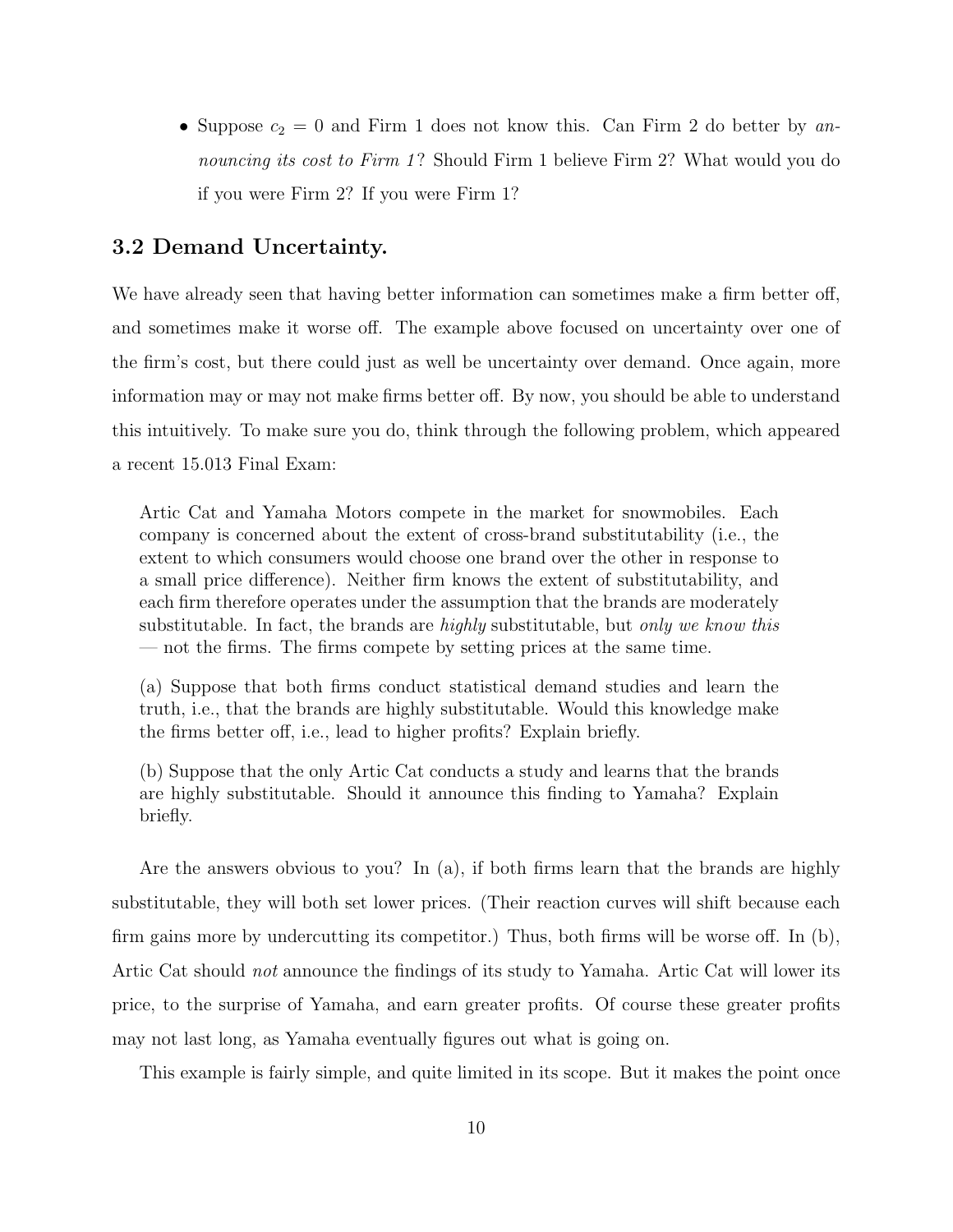• Suppose  $c_2 = 0$  and Firm 1 does not know this. Can Firm 2 do better by announcing its cost to Firm 1? Should Firm 1 believe Firm 2? What would you do if you were Firm 2? If you were Firm 1?

# 3.2 Demand Uncertainty.

We have already seen that having better information can sometimes make a firm better off, and sometimes make it worse off. The example above focused on uncertainty over one of the firm's cost, but there could just as well be uncertainty over demand. Once again, more information may or may not make firms better off. By now, you should be able to understand this intuitively. To make sure you do, think through the following problem, which appeared a recent 15.013 Final Exam:

Artic Cat and Yamaha Motors compete in the market for snowmobiles. Each company is concerned about the extent of cross-brand substitutability (i.e., the extent to which consumers would choose one brand over the other in response to a small price difference). Neither firm knows the extent of substitutability, and each firm therefore operates under the assumption that the brands are moderately substitutable. In fact, the brands are *highly* substitutable, but *only we know this* — not the firms. The firms compete by setting prices at the same time.

(a) Suppose that both firms conduct statistical demand studies and learn the truth, i.e., that the brands are highly substitutable. Would this knowledge make the firms better off, i.e., lead to higher profits? Explain briefly.

(b) Suppose that the only Artic Cat conducts a study and learns that the brands are highly substitutable. Should it announce this finding to Yamaha? Explain briefly.

Are the answers obvious to you? In (a), if both firms learn that the brands are highly substitutable, they will both set lower prices. (Their reaction curves will shift because each firm gains more by undercutting its competitor.) Thus, both firms will be worse off. In (b), Artic Cat should not announce the findings of its study to Yamaha. Artic Cat will lower its price, to the surprise of Yamaha, and earn greater profits. Of course these greater profits may not last long, as Yamaha eventually figures out what is going on.

This example is fairly simple, and quite limited in its scope. But it makes the point once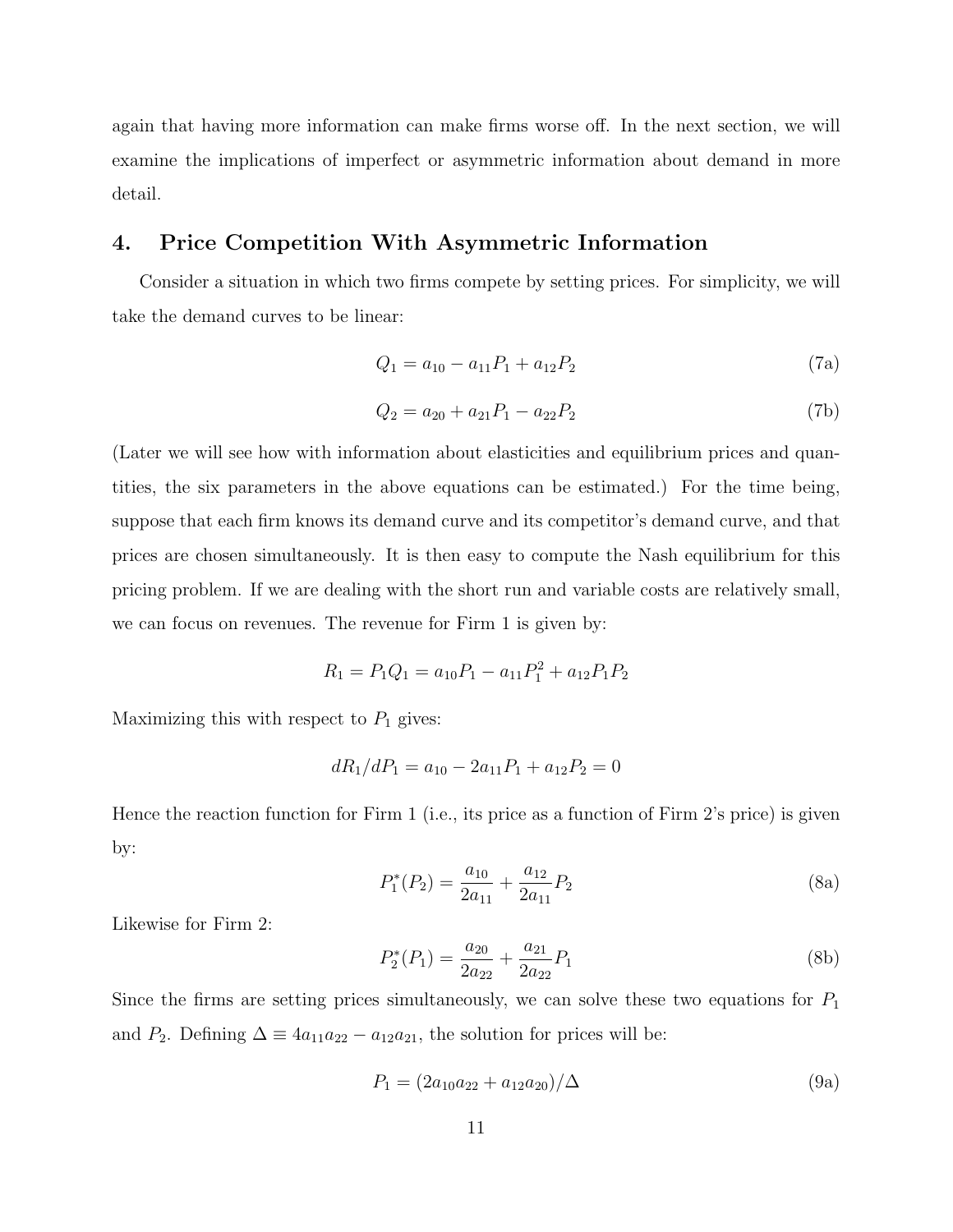again that having more information can make firms worse off. In the next section, we will examine the implications of imperfect or asymmetric information about demand in more detail.

## 4. Price Competition With Asymmetric Information

Consider a situation in which two firms compete by setting prices. For simplicity, we will take the demand curves to be linear:

$$
Q_1 = a_{10} - a_{11}P_1 + a_{12}P_2 \tag{7a}
$$

$$
Q_2 = a_{20} + a_{21}P_1 - a_{22}P_2 \tag{7b}
$$

(Later we will see how with information about elasticities and equilibrium prices and quantities, the six parameters in the above equations can be estimated.) For the time being, suppose that each firm knows its demand curve and its competitor's demand curve, and that prices are chosen simultaneously. It is then easy to compute the Nash equilibrium for this pricing problem. If we are dealing with the short run and variable costs are relatively small, we can focus on revenues. The revenue for Firm 1 is given by:

$$
R_1 = P_1 Q_1 = a_{10} P_1 - a_{11} P_1^2 + a_{12} P_1 P_2
$$

Maximizing this with respect to  $P_1$  gives:

$$
dR_1/dP_1 = a_{10} - 2a_{11}P_1 + a_{12}P_2 = 0
$$

Hence the reaction function for Firm 1 (i.e., its price as a function of Firm 2's price) is given by:

$$
P_1^*(P_2) = \frac{a_{10}}{2a_{11}} + \frac{a_{12}}{2a_{11}}P_2
$$
\n(8a)

Likewise for Firm 2:

$$
P_2^*(P_1) = \frac{a_{20}}{2a_{22}} + \frac{a_{21}}{2a_{22}}P_1
$$
\n(8b)

Since the firms are setting prices simultaneously, we can solve these two equations for  $P_1$ and  $P_2$ . Defining  $\Delta \equiv 4a_{11}a_{22} - a_{12}a_{21}$ , the solution for prices will be:

$$
P_1 = (2a_{10}a_{22} + a_{12}a_{20})/\Delta \tag{9a}
$$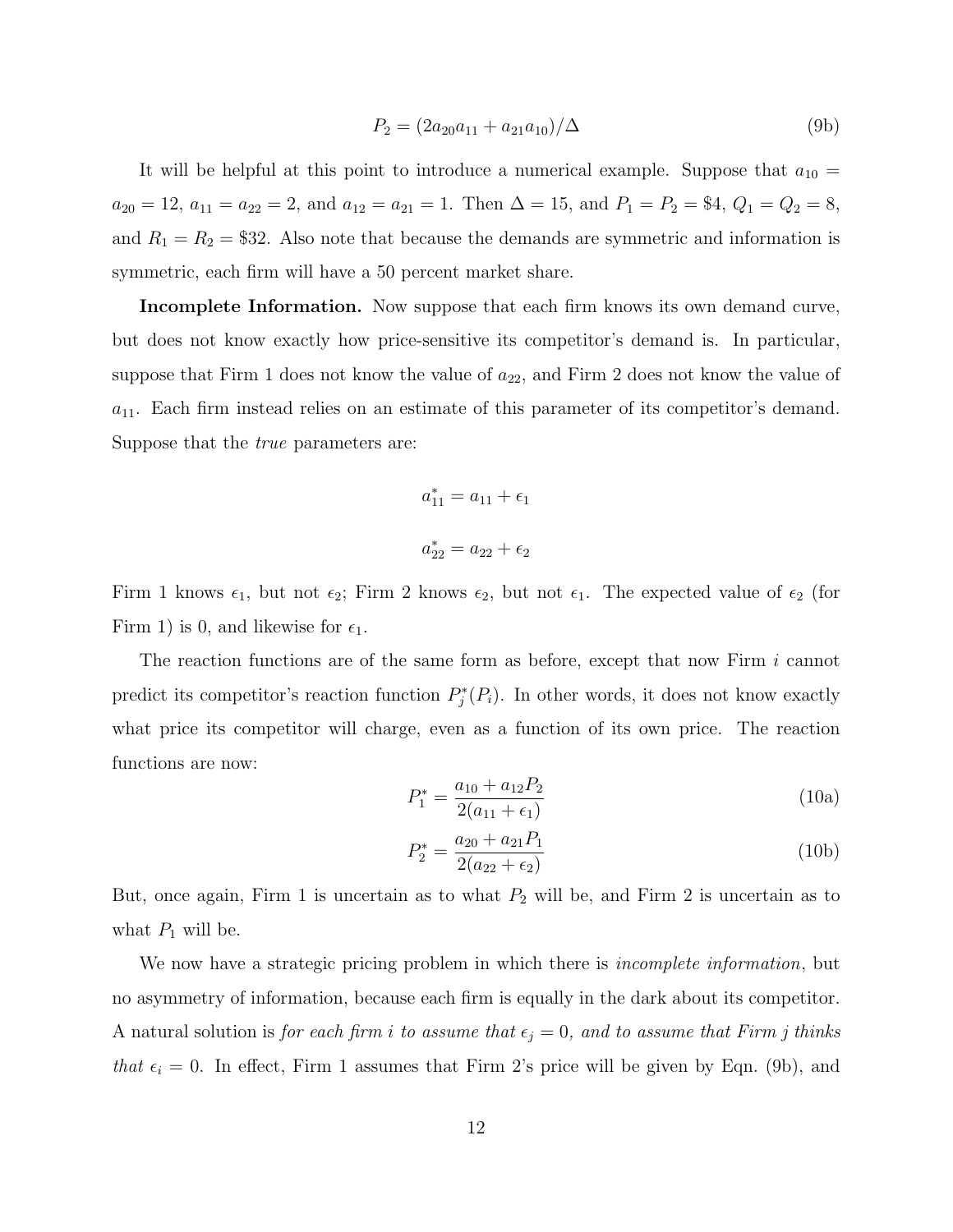$$
P_2 = (2a_{20}a_{11} + a_{21}a_{10})/\Delta \tag{9b}
$$

It will be helpful at this point to introduce a numerical example. Suppose that  $a_{10} =$  $a_{20} = 12, a_{11} = a_{22} = 2, \text{ and } a_{12} = a_{21} = 1. \text{ Then } \Delta = 15, \text{ and } P_1 = P_2 = $4, Q_1 = Q_2 = 8,$ and  $R_1 = R_2 = $32$ . Also note that because the demands are symmetric and information is symmetric, each firm will have a 50 percent market share.

Incomplete Information. Now suppose that each firm knows its own demand curve, but does not know exactly how price-sensitive its competitor's demand is. In particular, suppose that Firm 1 does not know the value of  $a_{22}$ , and Firm 2 does not know the value of  $a_{11}$ . Each firm instead relies on an estimate of this parameter of its competitor's demand. Suppose that the true parameters are:

$$
a_{11}^{*} = a_{11} + \epsilon_1
$$

$$
a_{22}^{*} = a_{22} + \epsilon_2
$$

Firm 1 knows  $\epsilon_1$ , but not  $\epsilon_2$ ; Firm 2 knows  $\epsilon_2$ , but not  $\epsilon_1$ . The expected value of  $\epsilon_2$  (for Firm 1) is 0, and likewise for  $\epsilon_1$ .

The reaction functions are of the same form as before, except that now Firm i cannot predict its competitor's reaction function  $P_j^*(P_i)$ . In other words, it does not know exactly what price its competitor will charge, even as a function of its own price. The reaction functions are now:

$$
P_1^* = \frac{a_{10} + a_{12}P_2}{2(a_{11} + \epsilon_1)}
$$
(10a)

$$
P_2^* = \frac{a_{20} + a_{21}P_1}{2(a_{22} + \epsilon_2)}
$$
(10b)

But, once again, Firm 1 is uncertain as to what  $P_2$  will be, and Firm 2 is uncertain as to what  $P_1$  will be.

We now have a strategic pricing problem in which there is *incomplete information*, but no asymmetry of information, because each firm is equally in the dark about its competitor. A natural solution is for each firm i to assume that  $\epsilon_j = 0$ , and to assume that Firm j thinks that  $\epsilon_i = 0$ . In effect, Firm 1 assumes that Firm 2's price will be given by Eqn. (9b), and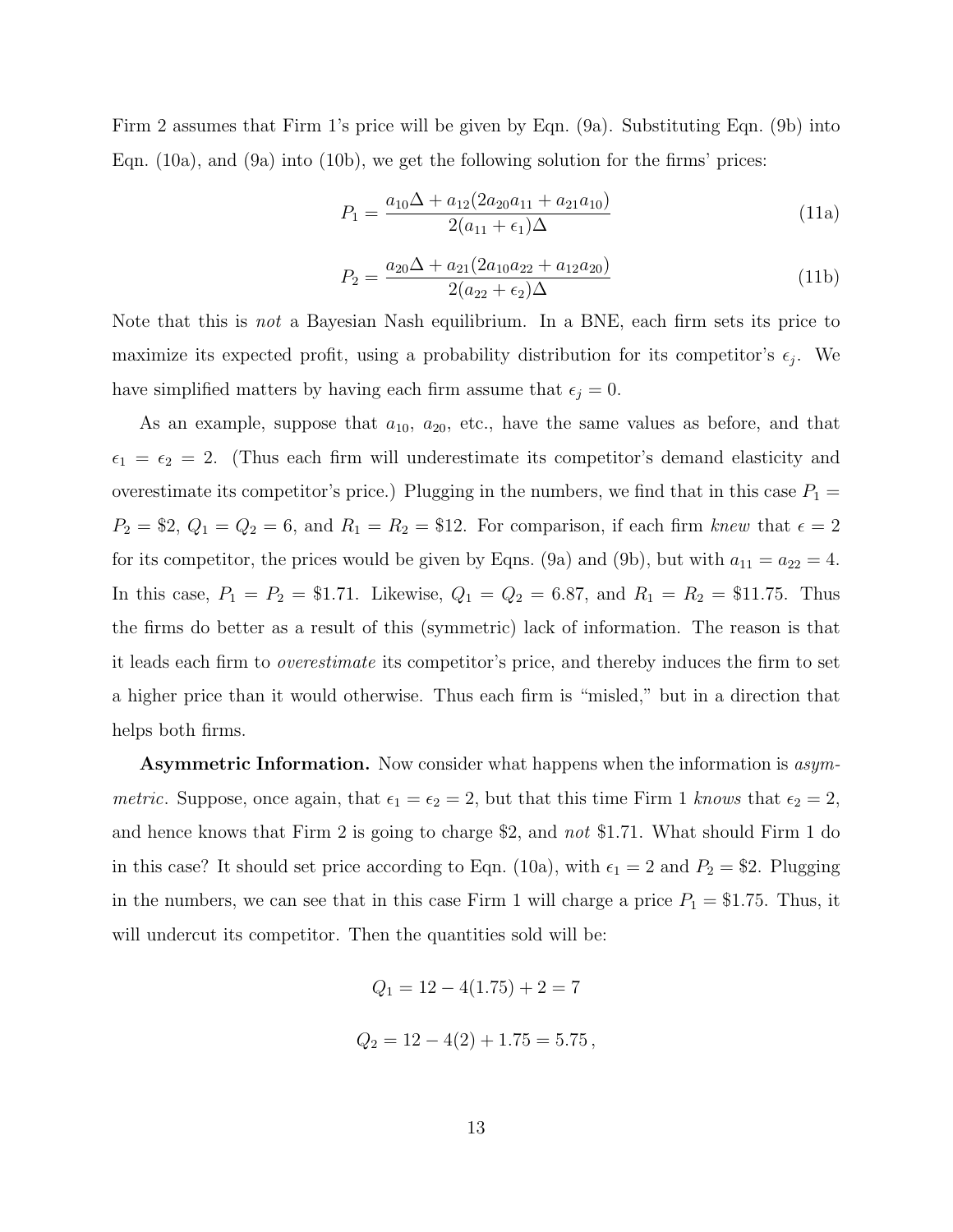Firm 2 assumes that Firm 1's price will be given by Eqn. (9a). Substituting Eqn. (9b) into Eqn. (10a), and (9a) into (10b), we get the following solution for the firms' prices:

$$
P_1 = \frac{a_{10}\Delta + a_{12}(2a_{20}a_{11} + a_{21}a_{10})}{2(a_{11} + \epsilon_1)\Delta} \tag{11a}
$$

$$
P_2 = \frac{a_{20}\Delta + a_{21}(2a_{10}a_{22} + a_{12}a_{20})}{2(a_{22} + \epsilon_2)\Delta} \tag{11b}
$$

Note that this is not a Bayesian Nash equilibrium. In a BNE, each firm sets its price to maximize its expected profit, using a probability distribution for its competitor's  $\epsilon_j$ . We have simplified matters by having each firm assume that  $\epsilon_j = 0$ .

As an example, suppose that  $a_{10}$ ,  $a_{20}$ , etc., have the same values as before, and that  $\epsilon_1 = \epsilon_2 = 2$ . (Thus each firm will underestimate its competitor's demand elasticity and overestimate its competitor's price.) Plugging in the numbers, we find that in this case  $P_1 =$  $P_2 = $2, Q_1 = Q_2 = 6, \text{ and } R_1 = R_2 = $12.$  For comparison, if each firm knew that  $\epsilon = 2$ for its competitor, the prices would be given by Eqns. (9a) and (9b), but with  $a_{11} = a_{22} = 4$ . In this case,  $P_1 = P_2 = $1.71$ . Likewise,  $Q_1 = Q_2 = 6.87$ , and  $R_1 = R_2 = $11.75$ . Thus the firms do better as a result of this (symmetric) lack of information. The reason is that it leads each firm to overestimate its competitor's price, and thereby induces the firm to set a higher price than it would otherwise. Thus each firm is "misled," but in a direction that helps both firms.

Asymmetric Information. Now consider what happens when the information is asymmetric. Suppose, once again, that  $\epsilon_1 = \epsilon_2 = 2$ , but that this time Firm 1 knows that  $\epsilon_2 = 2$ , and hence knows that Firm 2 is going to charge \$2, and not \$1.71. What should Firm 1 do in this case? It should set price according to Eqn. (10a), with  $\epsilon_1 = 2$  and  $P_2 = $2$ . Plugging in the numbers, we can see that in this case Firm 1 will charge a price  $P_1 = $1.75$ . Thus, it will undercut its competitor. Then the quantities sold will be:

$$
Q_1 = 12 - 4(1.75) + 2 = 7
$$
  

$$
Q_2 = 12 - 4(2) + 1.75 = 5.75
$$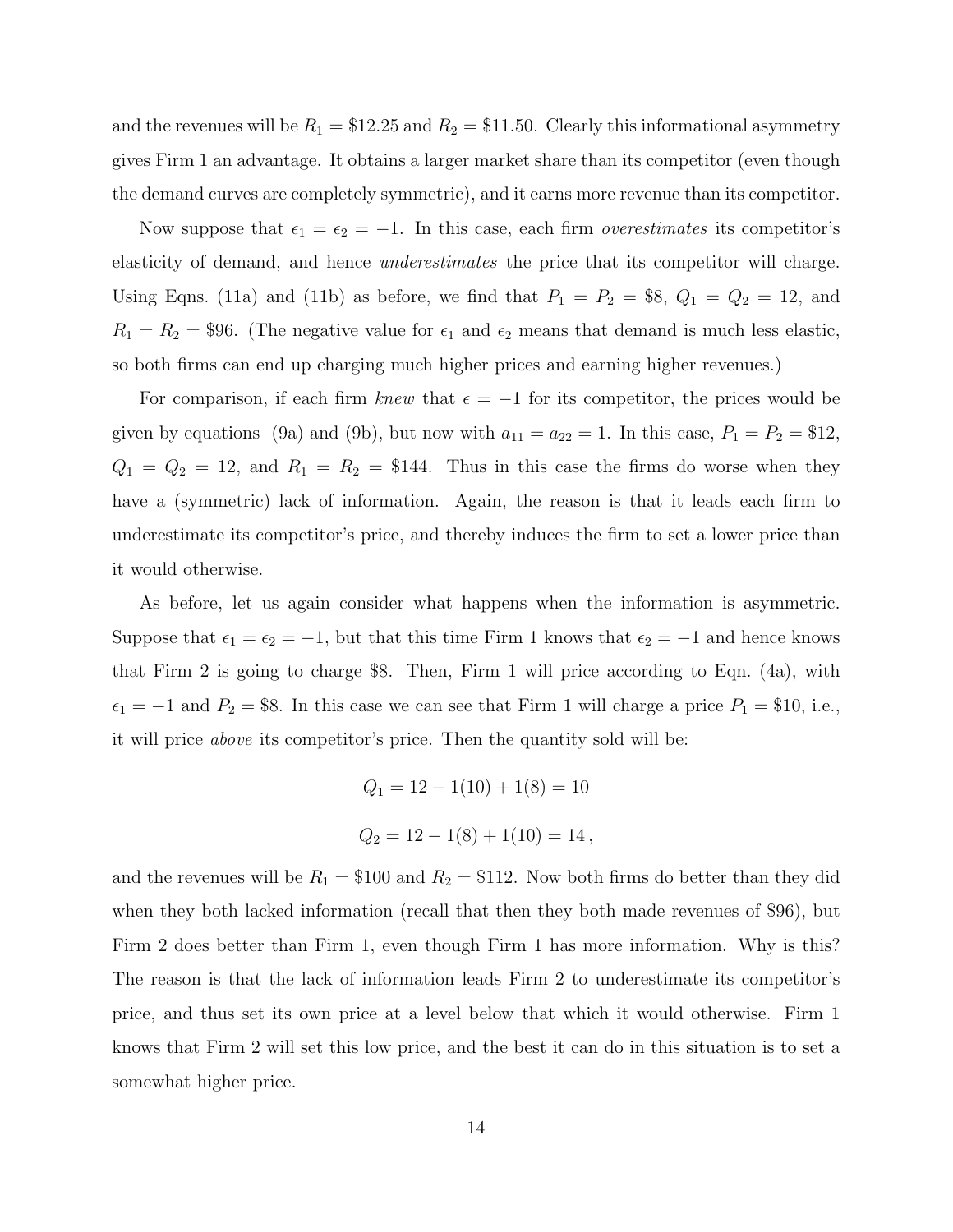and the revenues will be  $R_1 = \$12.25$  and  $R_2 = \$11.50$ . Clearly this informational asymmetry gives Firm 1 an advantage. It obtains a larger market share than its competitor (even though the demand curves are completely symmetric), and it earns more revenue than its competitor.

Now suppose that  $\epsilon_1 = \epsilon_2 = -1$ . In this case, each firm *overestimates* its competitor's elasticity of demand, and hence underestimates the price that its competitor will charge. Using Eqns. (11a) and (11b) as before, we find that  $P_1 = P_2 = $8, Q_1 = Q_2 = 12$ , and  $R_1 = R_2 = $96.$  (The negative value for  $\epsilon_1$  and  $\epsilon_2$  means that demand is much less elastic, so both firms can end up charging much higher prices and earning higher revenues.)

For comparison, if each firm knew that  $\epsilon = -1$  for its competitor, the prices would be given by equations (9a) and (9b), but now with  $a_{11} = a_{22} = 1$ . In this case,  $P_1 = P_2 = $12$ ,  $Q_1 = Q_2 = 12$ , and  $R_1 = R_2 = $144$ . Thus in this case the firms do worse when they have a (symmetric) lack of information. Again, the reason is that it leads each firm to underestimate its competitor's price, and thereby induces the firm to set a lower price than it would otherwise.

As before, let us again consider what happens when the information is asymmetric. Suppose that  $\epsilon_1 = \epsilon_2 = -1$ , but that this time Firm 1 knows that  $\epsilon_2 = -1$  and hence knows that Firm 2 is going to charge \$8. Then, Firm 1 will price according to Eqn. (4a), with  $\epsilon_1 = -1$  and  $P_2 = $8$ . In this case we can see that Firm 1 will charge a price  $P_1 = $10$ , i.e., it will price above its competitor's price. Then the quantity sold will be:

$$
Q_1 = 12 - 1(10) + 1(8) = 10
$$
  

$$
Q_2 = 12 - 1(8) + 1(10) = 14,
$$

and the revenues will be  $R_1 = \$100$  and  $R_2 = \$112$ . Now both firms do better than they did when they both lacked information (recall that then they both made revenues of \$96), but Firm 2 does better than Firm 1, even though Firm 1 has more information. Why is this? The reason is that the lack of information leads Firm 2 to underestimate its competitor's price, and thus set its own price at a level below that which it would otherwise. Firm 1 knows that Firm 2 will set this low price, and the best it can do in this situation is to set a somewhat higher price.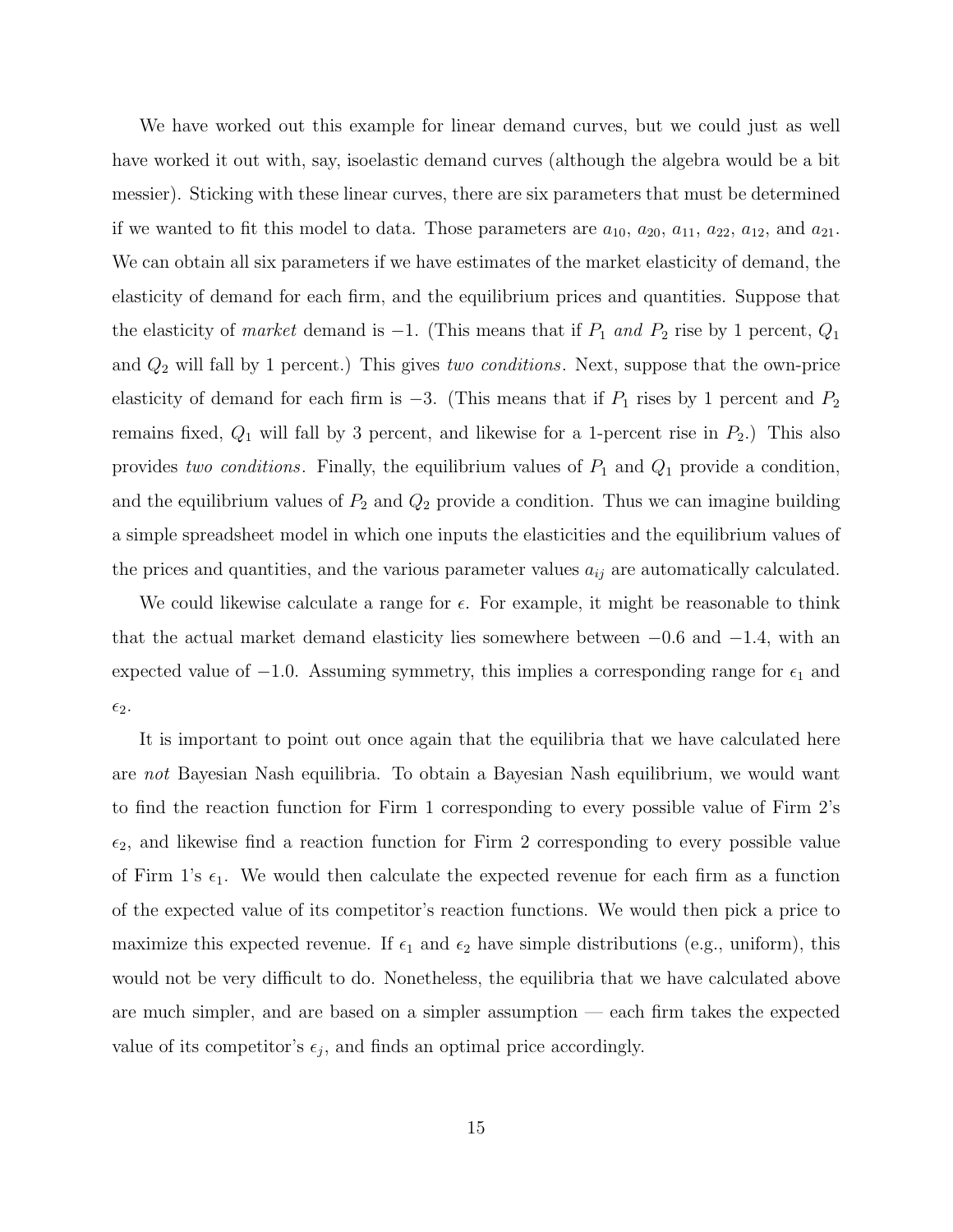We have worked out this example for linear demand curves, but we could just as well have worked it out with, say, isoelastic demand curves (although the algebra would be a bit messier). Sticking with these linear curves, there are six parameters that must be determined if we wanted to fit this model to data. Those parameters are  $a_{10}$ ,  $a_{20}$ ,  $a_{11}$ ,  $a_{22}$ ,  $a_{12}$ , and  $a_{21}$ . We can obtain all six parameters if we have estimates of the market elasticity of demand, the elasticity of demand for each firm, and the equilibrium prices and quantities. Suppose that the elasticity of market demand is  $-1$ . (This means that if  $P_1$  and  $P_2$  rise by 1 percent,  $Q_1$ and  $Q_2$  will fall by 1 percent.) This gives two conditions. Next, suppose that the own-price elasticity of demand for each firm is  $-3$ . (This means that if  $P_1$  rises by 1 percent and  $P_2$ remains fixed,  $Q_1$  will fall by 3 percent, and likewise for a 1-percent rise in  $P_2$ .) This also provides two conditions. Finally, the equilibrium values of  $P_1$  and  $Q_1$  provide a condition, and the equilibrium values of  $P_2$  and  $Q_2$  provide a condition. Thus we can imagine building a simple spreadsheet model in which one inputs the elasticities and the equilibrium values of the prices and quantities, and the various parameter values  $a_{ij}$  are automatically calculated.

We could likewise calculate a range for  $\epsilon$ . For example, it might be reasonable to think that the actual market demand elasticity lies somewhere between  $-0.6$  and  $-1.4$ , with an expected value of  $-1.0$ . Assuming symmetry, this implies a corresponding range for  $\epsilon_1$  and  $\epsilon_2$ .

It is important to point out once again that the equilibria that we have calculated here are not Bayesian Nash equilibria. To obtain a Bayesian Nash equilibrium, we would want to find the reaction function for Firm 1 corresponding to every possible value of Firm 2's  $\epsilon_2$ , and likewise find a reaction function for Firm 2 corresponding to every possible value of Firm 1's  $\epsilon_1$ . We would then calculate the expected revenue for each firm as a function of the expected value of its competitor's reaction functions. We would then pick a price to maximize this expected revenue. If  $\epsilon_1$  and  $\epsilon_2$  have simple distributions (e.g., uniform), this would not be very difficult to do. Nonetheless, the equilibria that we have calculated above are much simpler, and are based on a simpler assumption — each firm takes the expected value of its competitor's  $\epsilon_j$ , and finds an optimal price accordingly.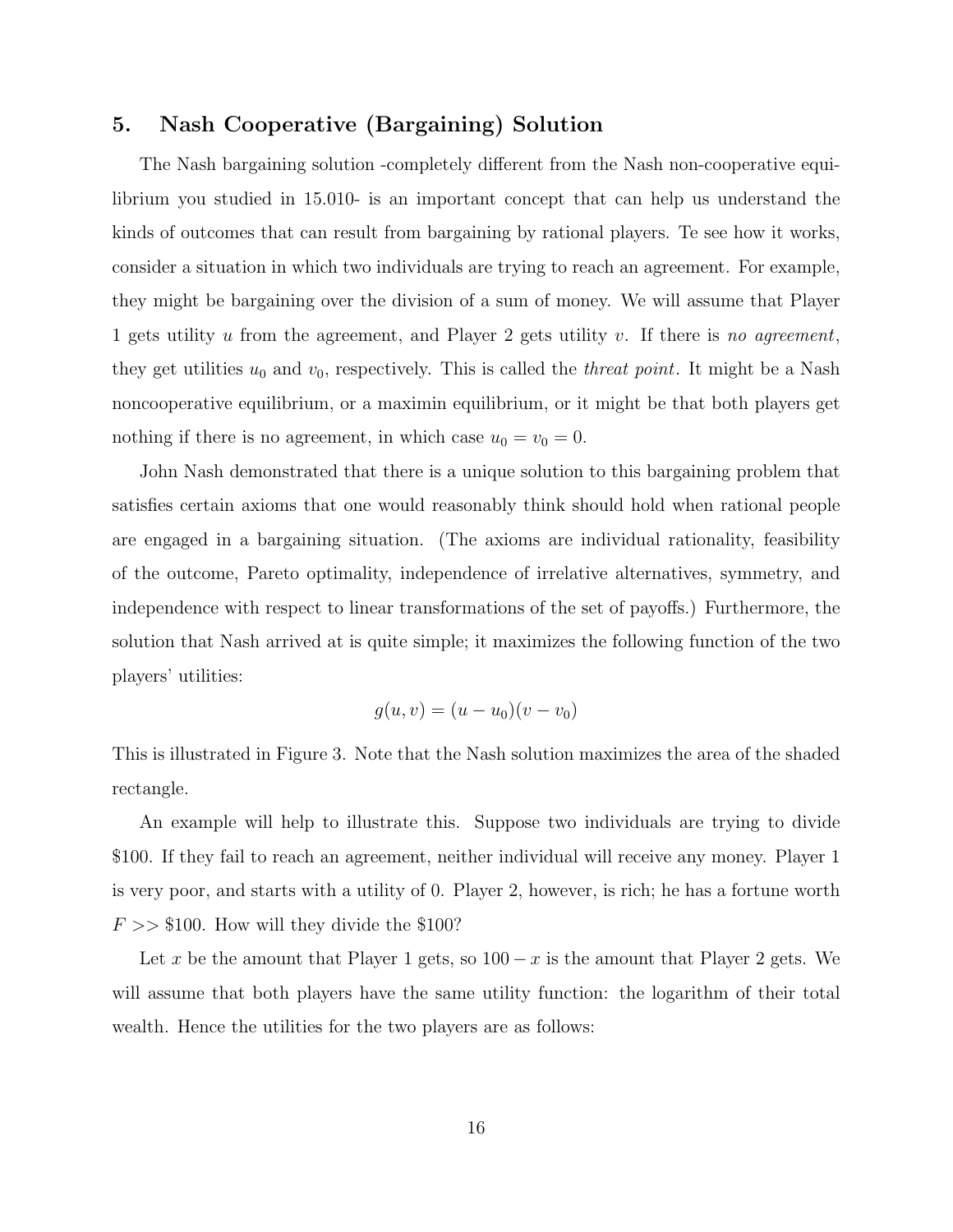## 5. Nash Cooperative (Bargaining) Solution

The Nash bargaining solution -completely different from the Nash non-cooperative equilibrium you studied in 15.010- is an important concept that can help us understand the kinds of outcomes that can result from bargaining by rational players. Te see how it works, consider a situation in which two individuals are trying to reach an agreement. For example, they might be bargaining over the division of a sum of money. We will assume that Player 1 gets utility u from the agreement, and Player 2 gets utility v. If there is no agreement. they get utilities  $u_0$  and  $v_0$ , respectively. This is called the *threat point*. It might be a Nash noncooperative equilibrium, or a maximin equilibrium, or it might be that both players get nothing if there is no agreement, in which case  $u_0 = v_0 = 0$ .

John Nash demonstrated that there is a unique solution to this bargaining problem that satisfies certain axioms that one would reasonably think should hold when rational people are engaged in a bargaining situation. (The axioms are individual rationality, feasibility of the outcome, Pareto optimality, independence of irrelative alternatives, symmetry, and independence with respect to linear transformations of the set of payoffs.) Furthermore, the solution that Nash arrived at is quite simple; it maximizes the following function of the two players' utilities:

$$
g(u, v) = (u - u_0)(v - v_0)
$$

This is illustrated in Figure 3. Note that the Nash solution maximizes the area of the shaded rectangle.

An example will help to illustrate this. Suppose two individuals are trying to divide \$100. If they fail to reach an agreement, neither individual will receive any money. Player 1 is very poor, and starts with a utility of 0. Player 2, however, is rich; he has a fortune worth  $F \gg $100$ . How will they divide the \$100?

Let x be the amount that Player 1 gets, so  $100 - x$  is the amount that Player 2 gets. We will assume that both players have the same utility function: the logarithm of their total wealth. Hence the utilities for the two players are as follows: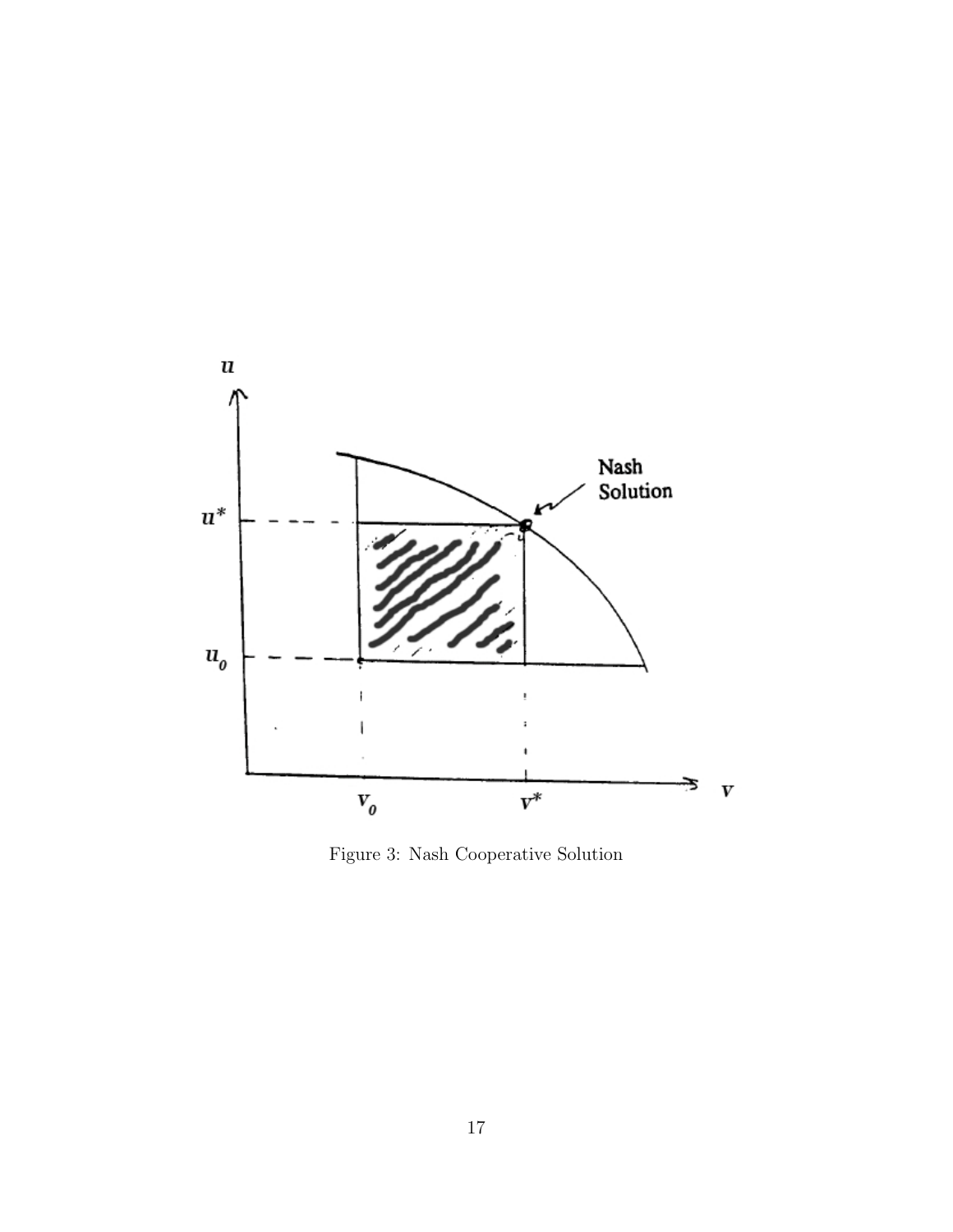

Figure 3: Nash Cooperative Solution